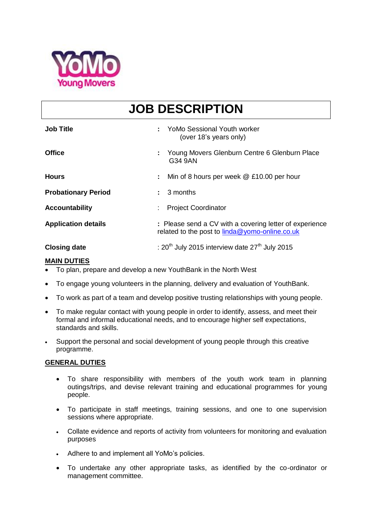

## **JOB DESCRIPTION**

| <b>Job Title</b>           |                                                                                                           | <b>YoMo Sessional Youth worker</b><br>(over 18's years only) |
|----------------------------|-----------------------------------------------------------------------------------------------------------|--------------------------------------------------------------|
| <b>Office</b>              | G34 9AN                                                                                                   | Young Movers Glenburn Centre 6 Glenburn Place                |
| <b>Hours</b>               |                                                                                                           | Min of 8 hours per week @ £10.00 per hour                    |
| <b>Probationary Period</b> | 3 months                                                                                                  |                                                              |
| <b>Accountability</b>      |                                                                                                           | <b>Project Coordinator</b>                                   |
| <b>Application details</b> | : Please send a CV with a covering letter of experience<br>related to the post to linda@yomo-online.co.uk |                                                              |
| <b>Closing date</b>        | : $20th$ July 2015 interview date $27th$ July 2015                                                        |                                                              |

## **MAIN DUTIES**

- To plan, prepare and develop a new YouthBank in the North West
- To engage young volunteers in the planning, delivery and evaluation of YouthBank.
- To work as part of a team and develop positive trusting relationships with young people.
- To make regular contact with young people in order to identify, assess, and meet their formal and informal educational needs, and to encourage higher self expectations, standards and skills.
- Support the personal and social development of young people through this creative programme.

## **GENERAL DUTIES**

- To share responsibility with members of the youth work team in planning outings/trips, and devise relevant training and educational programmes for young people.
- To participate in staff meetings, training sessions, and one to one supervision sessions where appropriate.
- Collate evidence and reports of activity from volunteers for monitoring and evaluation purposes
- Adhere to and implement all YoMo's policies.
- To undertake any other appropriate tasks, as identified by the co-ordinator or management committee.